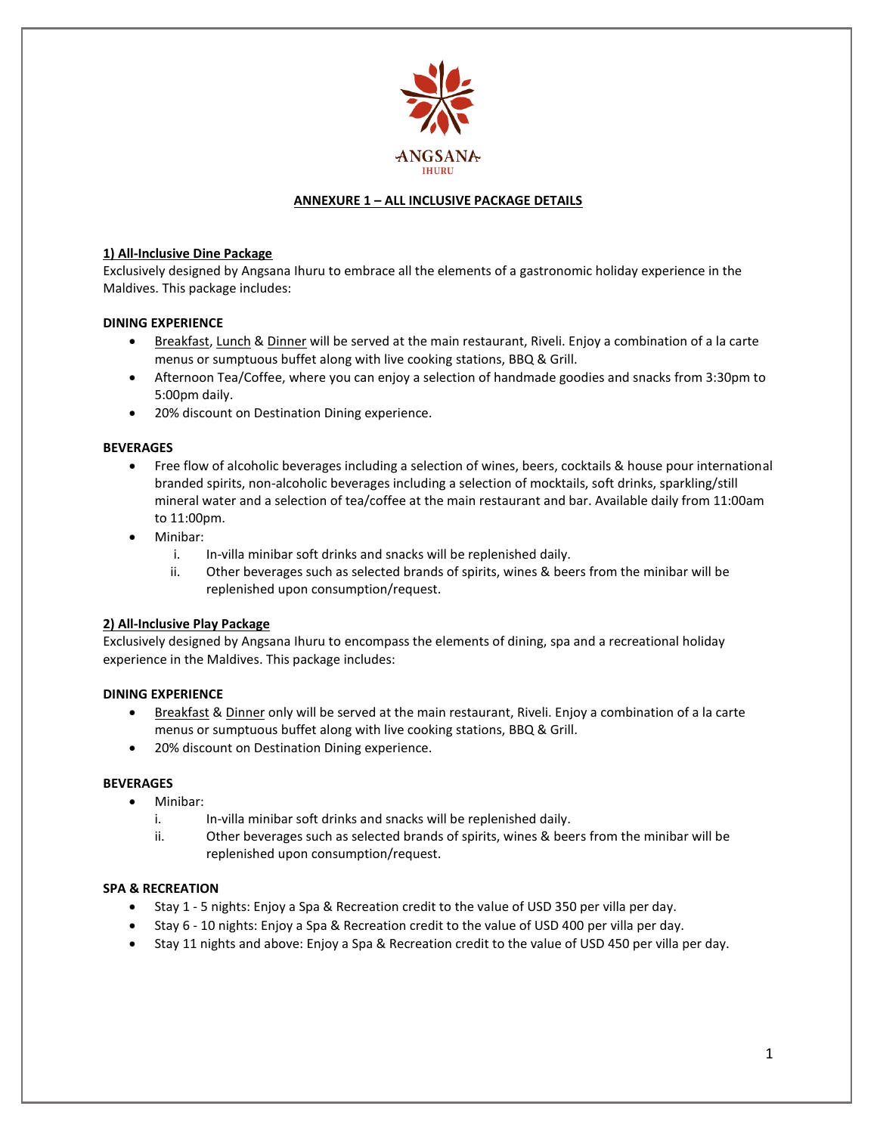

# **ANNEXURE 1 – ALL INCLUSIVE PACKAGE DETAILS**

### **1) All-Inclusive Dine Package**

Exclusively designed by Angsana Ihuru to embrace all the elements of a gastronomic holiday experience in the Maldives. This package includes:

## **DINING EXPERIENCE**

- Breakfast, Lunch & Dinner will be served at the main restaurant, Riveli. Enjoy a combination of a la carte menus or sumptuous buffet along with live cooking stations, BBQ & Grill.
- Afternoon Tea/Coffee, where you can enjoy a selection of handmade goodies and snacks from 3:30pm to 5:00pm daily.
- 20% discount on Destination Dining experience.

### **BEVERAGES**

- Free flow of alcoholic beverages including a selection of wines, beers, cocktails & house pour international branded spirits, non-alcoholic beverages including a selection of mocktails, soft drinks, sparkling/still mineral water and a selection of tea/coffee at the main restaurant and bar. Available daily from 11:00am to 11:00pm.
- Minibar:
	- i. In-villa minibar soft drinks and snacks will be replenished daily.
	- ii. Other beverages such as selected brands of spirits, wines & beers from the minibar will be replenished upon consumption/request.

#### **2) All-Inclusive Play Package**

Exclusively designed by Angsana Ihuru to encompass the elements of dining, spa and a recreational holiday experience in the Maldives. This package includes:

#### **DINING EXPERIENCE**

- **Breakfast & Dinner only will be served at the main restaurant, Riveli. Enjoy a combination of a la carte** menus or sumptuous buffet along with live cooking stations, BBQ & Grill.
- 20% discount on Destination Dining experience.

#### **BEVERAGES**

- Minibar:
	- i. In-villa minibar soft drinks and snacks will be replenished daily.
	- ii. Other beverages such as selected brands of spirits, wines & beers from the minibar will be replenished upon consumption/request.

#### **SPA & RECREATION**

- Stay 1 5 nights: Enjoy a Spa & Recreation credit to the value of USD 350 per villa per day.
- Stay 6 10 nights: Enjoy a Spa & Recreation credit to the value of USD 400 per villa per day.
- Stay 11 nights and above: Enjoy a Spa & Recreation credit to the value of USD 450 per villa per day.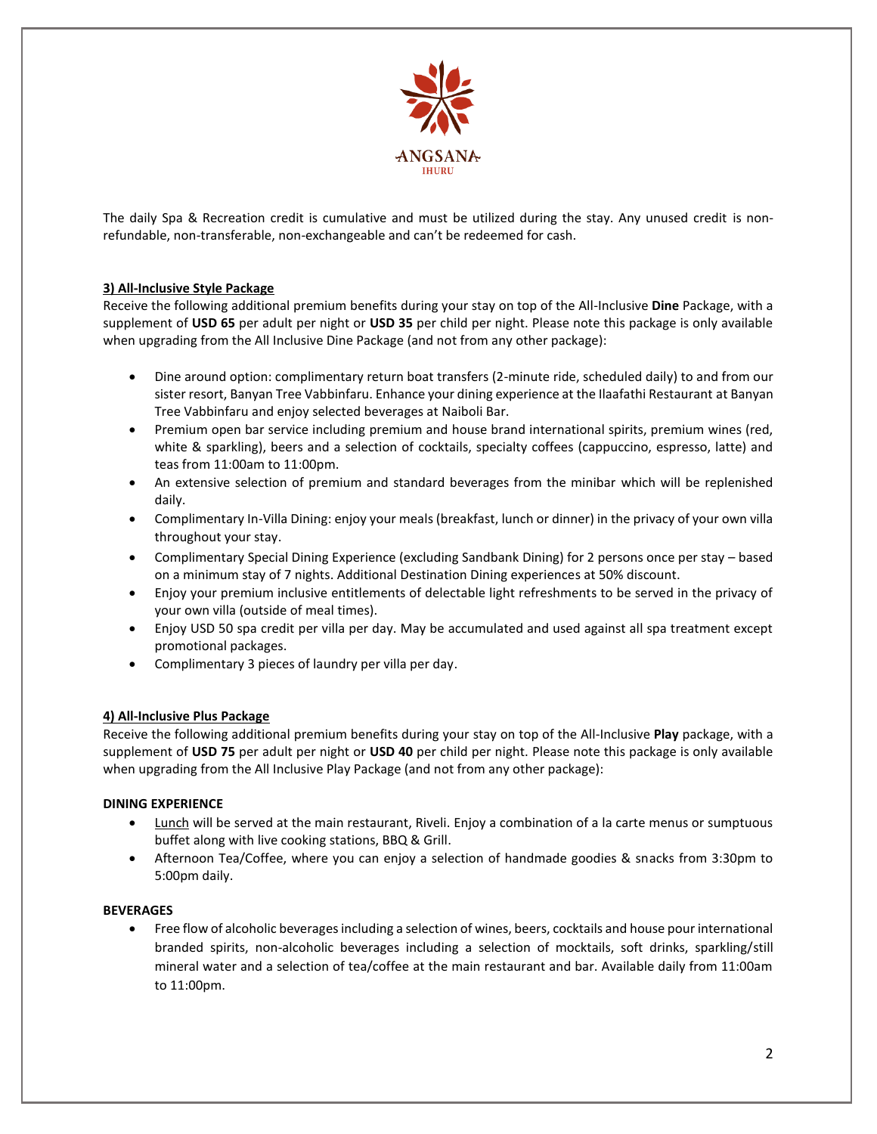

The daily Spa & Recreation credit is cumulative and must be utilized during the stay. Any unused credit is nonrefundable, non-transferable, non-exchangeable and can't be redeemed for cash.

# **3) All-Inclusive Style Package**

Receive the following additional premium benefits during your stay on top of the All-Inclusive **Dine** Package, with a supplement of **USD 65** per adult per night or **USD 35** per child per night. Please note this package is only available when upgrading from the All Inclusive Dine Package (and not from any other package):

- Dine around option: complimentary return boat transfers (2-minute ride, scheduled daily) to and from our sister resort, Banyan Tree Vabbinfaru. Enhance your dining experience at the Ilaafathi Restaurant at Banyan Tree Vabbinfaru and enjoy selected beverages at Naiboli Bar.
- Premium open bar service including premium and house brand international spirits, premium wines (red, white & sparkling), beers and a selection of cocktails, specialty coffees (cappuccino, espresso, latte) and teas from 11:00am to 11:00pm.
- An extensive selection of premium and standard beverages from the minibar which will be replenished daily.
- Complimentary In-Villa Dining: enjoy your meals (breakfast, lunch or dinner) in the privacy of your own villa throughout your stay.
- Complimentary Special Dining Experience (excluding Sandbank Dining) for 2 persons once per stay based on a minimum stay of 7 nights. Additional Destination Dining experiences at 50% discount.
- Enjoy your premium inclusive entitlements of delectable light refreshments to be served in the privacy of your own villa (outside of meal times).
- Enjoy USD 50 spa credit per villa per day. May be accumulated and used against all spa treatment except promotional packages.
- Complimentary 3 pieces of laundry per villa per day.

## **4) All-Inclusive Plus Package**

Receive the following additional premium benefits during your stay on top of the All-Inclusive **Play** package, with a supplement of **USD 75** per adult per night or **USD 40** per child per night. Please note this package is only available when upgrading from the All Inclusive Play Package (and not from any other package):

## **DINING EXPERIENCE**

- Lunch will be served at the main restaurant, Riveli. Enjoy a combination of a la carte menus or sumptuous buffet along with live cooking stations, BBQ & Grill.
- Afternoon Tea/Coffee, where you can enjoy a selection of handmade goodies & snacks from 3:30pm to 5:00pm daily.

## **BEVERAGES**

 Free flow of alcoholic beverages including a selection of wines, beers, cocktails and house pour international branded spirits, non-alcoholic beverages including a selection of mocktails, soft drinks, sparkling/still mineral water and a selection of tea/coffee at the main restaurant and bar. Available daily from 11:00am to 11:00pm.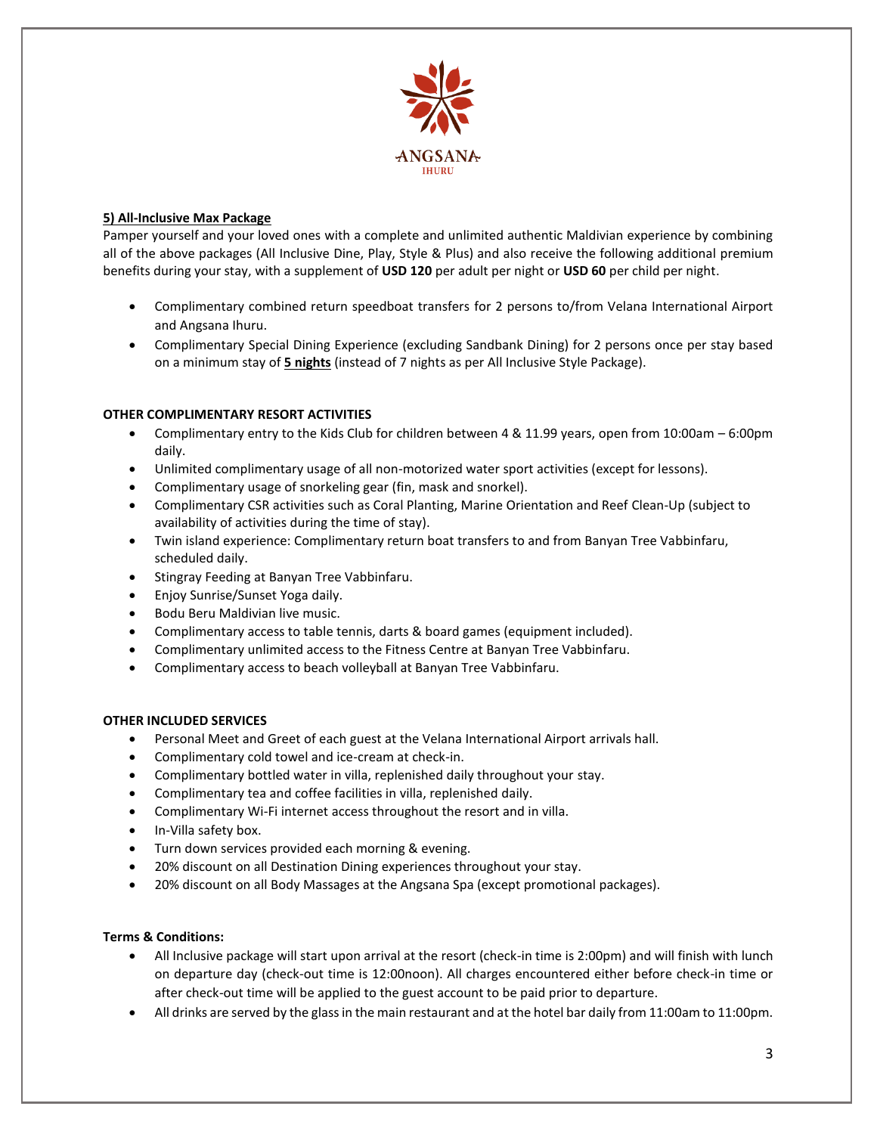

## **5) All-Inclusive Max Package**

Pamper yourself and your loved ones with a complete and unlimited authentic Maldivian experience by combining all of the above packages (All Inclusive Dine, Play, Style & Plus) and also receive the following additional premium benefits during your stay, with a supplement of **USD 120** per adult per night or **USD 60** per child per night.

- Complimentary combined return speedboat transfers for 2 persons to/from Velana International Airport and Angsana Ihuru.
- Complimentary Special Dining Experience (excluding Sandbank Dining) for 2 persons once per stay based on a minimum stay of **5 nights** (instead of 7 nights as per All Inclusive Style Package).

# **OTHER COMPLIMENTARY RESORT ACTIVITIES**

- Complimentary entry to the Kids Club for children between 4 & 11.99 years, open from 10:00am 6:00pm daily.
- Unlimited complimentary usage of all non-motorized water sport activities (except for lessons).
- Complimentary usage of snorkeling gear (fin, mask and snorkel).
- Complimentary CSR activities such as Coral Planting, Marine Orientation and Reef Clean-Up (subject to availability of activities during the time of stay).
- Twin island experience: Complimentary return boat transfers to and from Banyan Tree Vabbinfaru, scheduled daily.
- Stingray Feeding at Banyan Tree Vabbinfaru.
- Enjoy Sunrise/Sunset Yoga daily.
- Bodu Beru Maldivian live music.
- Complimentary access to table tennis, darts & board games (equipment included).
- Complimentary unlimited access to the Fitness Centre at Banyan Tree Vabbinfaru.
- Complimentary access to beach volleyball at Banyan Tree Vabbinfaru.

## **OTHER INCLUDED SERVICES**

- Personal Meet and Greet of each guest at the Velana International Airport arrivals hall.
- Complimentary cold towel and ice-cream at check-in.
- Complimentary bottled water in villa, replenished daily throughout your stay.
- Complimentary tea and coffee facilities in villa, replenished daily.
- Complimentary Wi-Fi internet access throughout the resort and in villa.
- In-Villa safety box.
- Turn down services provided each morning & evening.
- 20% discount on all Destination Dining experiences throughout your stay.
- 20% discount on all Body Massages at the Angsana Spa (except promotional packages).

## **Terms & Conditions:**

- All Inclusive package will start upon arrival at the resort (check-in time is 2:00pm) and will finish with lunch on departure day (check-out time is 12:00noon). All charges encountered either before check-in time or after check-out time will be applied to the guest account to be paid prior to departure.
- All drinks are served by the glass in the main restaurant and at the hotel bar daily from 11:00am to 11:00pm.